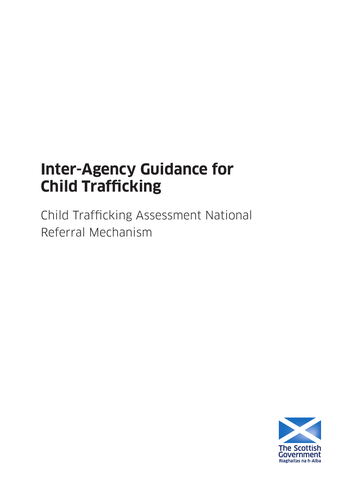# **Inter-Agency Guidance for Child Trafficking**

Child Trafficking Assessment National Referral Mechanism

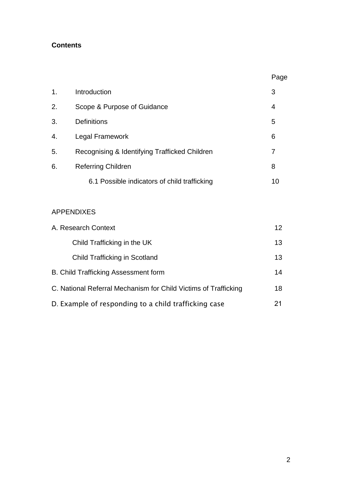## **Contents**

|                |                                               | Page |
|----------------|-----------------------------------------------|------|
| $\mathbf{1}$ . | Introduction                                  | 3    |
| 2.             | Scope & Purpose of Guidance                   | 4    |
| 3.             | Definitions                                   | 5    |
| 4.             | Legal Framework                               | 6    |
| 5.             | Recognising & Identifying Trafficked Children | 7    |
| 6.             | <b>Referring Children</b>                     | 8    |
|                | 6.1 Possible indicators of child trafficking  | 10   |

## APPENDIXES

| A. Research Context                                             | 12 <sup>2</sup> |
|-----------------------------------------------------------------|-----------------|
| Child Trafficking in the UK                                     | 13              |
| <b>Child Trafficking in Scotland</b>                            | 13              |
| B. Child Trafficking Assessment form                            | 14              |
| C. National Referral Mechanism for Child Victims of Trafficking | 18              |
| D. Example of responding to a child trafficking case            |                 |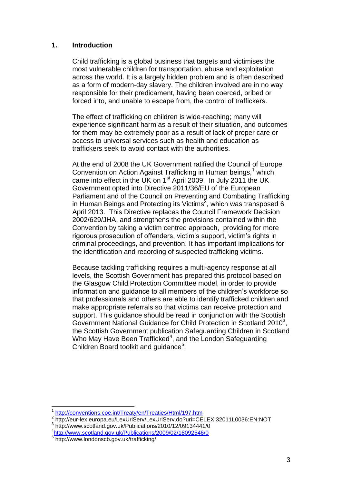#### **1. Introduction**

Child trafficking is a global business that targets and victimises the most vulnerable children for transportation, abuse and exploitation across the world. It is a largely hidden problem and is often described as a form of modern-day slavery. The children involved are in no way responsible for their predicament, having been coerced, bribed or forced into, and unable to escape from, the control of traffickers.

The effect of trafficking on children is wide-reaching; many will experience significant harm as a result of their situation, and outcomes for them may be extremely poor as a result of lack of proper care or access to universal services such as health and education as traffickers seek to avoid contact with the authorities.

At the end of 2008 the UK Government ratified the Council of Europe Convention on Action Against Trafficking in Human beings,<sup>1</sup> which came into effect in the UK on  $1<sup>st</sup>$  April 2009. In July 2011 the UK Government opted into Directive 2011/36/EU of the European Parliament and of the Council on Preventing and Combating Trafficking in Human Beings and Protecting its Victims<sup>2</sup>, which was transposed 6 April 2013. This Directive replaces the Council Framework Decision 2002/629/JHA, and strengthens the provisions contained within the Convention by taking a victim centred approach, providing for more rigorous prosecution of offenders, victim"s support, victim"s rights in criminal proceedings, and prevention. It has important implications for the identification and recording of suspected trafficking victims.

Because tackling trafficking requires a multi-agency response at all levels, the Scottish Government has prepared this protocol based on the Glasgow Child Protection Committee model, in order to provide information and guidance to all members of the children"s workforce so that professionals and others are able to identify trafficked children and make appropriate referrals so that victims can receive protection and support. This guidance should be read in conjunction with the Scottish Government National Guidance for Child Protection in Scotland 2010<sup>3</sup>, the Scottish Government publication Safeguarding Children in Scotland Who May Have Been Trafficked<sup>4</sup>, and the London Safeguarding Children Board toolkit and guidance<sup>5</sup>.

 $\overline{a}$ 

<sup>1</sup> <http://conventions.coe.int/Treaty/en/Treaties/Html/197.htm>

<sup>2</sup> http://eur-lex.europa.eu/LexUriServ/LexUriServ.do?uri=CELEX:32011L0036:EN:NOT

<sup>3</sup> http://www.scotland.gov.uk/Publications/2010/12/09134441/0

<sup>4</sup> <http://www.scotland.gov.uk/Publications/2009/02/18092546/0>

<sup>&</sup>lt;sup>5</sup> http://www.londonscb.gov.uk/trafficking/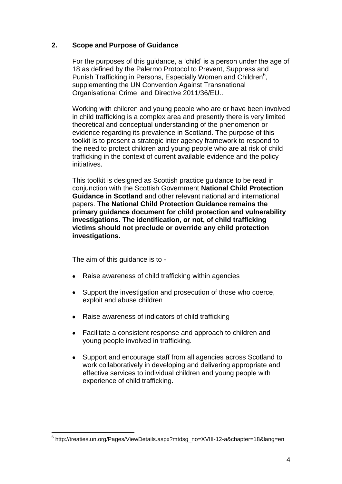#### **2. Scope and Purpose of Guidance**

For the purposes of this guidance, a "child" is a person under the age of 18 as defined by the Palermo Protocol to Prevent, Suppress and Punish Trafficking in Persons, Especially Women and Children<sup>6</sup>, supplementing the UN Convention Against Transnational Organisational Crime and Directive 2011/36/EU..

Working with children and young people who are or have been involved in child trafficking is a complex area and presently there is very limited theoretical and conceptual understanding of the phenomenon or evidence regarding its prevalence in Scotland. The purpose of this toolkit is to present a strategic inter agency framework to respond to the need to protect children and young people who are at risk of child trafficking in the context of current available evidence and the policy initiatives.

This toolkit is designed as Scottish practice guidance to be read in conjunction with the Scottish Government **National Child Protection Guidance in Scotland** and other relevant national and international papers. **The National Child Protection Guidance remains the primary guidance document for child protection and vulnerability investigations. The identification, or not, of child trafficking victims should not preclude or override any child protection investigations.** 

The aim of this guidance is to -

 $\overline{a}$ 

- Raise awareness of child trafficking within agencies
- Support the investigation and prosecution of those who coerce, exploit and abuse children
- Raise awareness of indicators of child trafficking
- Facilitate a consistent response and approach to children and young people involved in trafficking.
- Support and encourage staff from all agencies across Scotland to work collaboratively in developing and delivering appropriate and effective services to individual children and young people with experience of child trafficking.

<sup>6</sup> http://treaties.un.org/Pages/ViewDetails.aspx?mtdsg\_no=XVIII-12-a&chapter=18&lang=en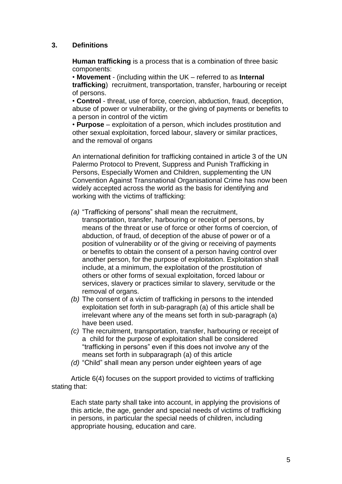#### **3. Definitions**

**Human trafficking** is a process that is a combination of three basic components:

• **Movement** - (including within the UK – referred to as **Internal trafficking**) recruitment, transportation, transfer, harbouring or receipt of persons.

• **Control** - threat, use of force, coercion, abduction, fraud, deception, abuse of power or vulnerability, or the giving of payments or benefits to a person in control of the victim

• **Purpose** – exploitation of a person, which includes prostitution and other sexual exploitation, forced labour, slavery or similar practices, and the removal of organs

An international definition for trafficking contained in article 3 of the UN Palermo Protocol to Prevent, Suppress and Punish Trafficking in Persons, Especially Women and Children, supplementing the UN Convention Against Transnational Organisational Crime has now been widely accepted across the world as the basis for identifying and working with the victims of trafficking:

- *(a)* "Trafficking of persons" shall mean the recruitment,
- transportation, transfer, harbouring or receipt of persons, by means of the threat or use of force or other forms of coercion, of abduction, of fraud, of deception of the abuse of power or of a position of vulnerability or of the giving or receiving of payments or benefits to obtain the consent of a person having control over another person, for the purpose of exploitation. Exploitation shall include, at a minimum, the exploitation of the prostitution of others or other forms of sexual exploitation, forced labour or services, slavery or practices similar to slavery, servitude or the removal of organs.
- *(b)* The consent of a victim of trafficking in persons to the intended exploitation set forth in sub-paragraph (a) of this article shall be irrelevant where any of the means set forth in sub-paragraph (a) have been used.
- *(c)* The recruitment, transportation, transfer, harbouring or receipt of a child for the purpose of exploitation shall be considered "trafficking in persons" even if this does not involve any of the means set forth in subparagraph (a) of this article
- *(d)* "Child" shall mean any person under eighteen years of age

Article 6(4) focuses on the support provided to victims of trafficking stating that:

Each state party shall take into account, in applying the provisions of this article, the age, gender and special needs of victims of trafficking in persons, in particular the special needs of children, including appropriate housing, education and care.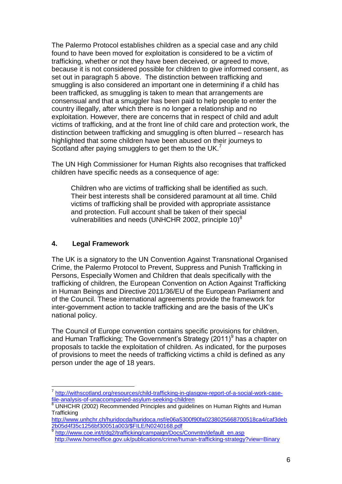The Palermo Protocol establishes children as a special case and any child found to have been moved for exploitation is considered to be a victim of trafficking, whether or not they have been deceived, or agreed to move, because it is not considered possible for children to give informed consent, as set out in paragraph 5 above. The distinction between trafficking and smuggling is also considered an important one in determining if a child has been trafficked, as smuggling is taken to mean that arrangements are consensual and that a smuggler has been paid to help people to enter the country illegally, after which there is no longer a relationship and no exploitation. However, there are concerns that in respect of child and adult victims of trafficking, and at the front line of child care and protection work, the distinction between trafficking and smuggling is often blurred – research has highlighted that some children have been abused on their journeys to Scotland after paying smugglers to get them to the UK. $<sup>7</sup>$ </sup>

The UN High Commissioner for Human Rights also recognises that trafficked children have specific needs as a consequence of age:

Children who are victims of trafficking shall be identified as such. Their best interests shall be considered paramount at all time. Child victims of trafficking shall be provided with appropriate assistance and protection. Full account shall be taken of their special vulnerabilities and needs (UNHCHR 2002, principle 10) $8$ 

#### **4. Legal Framework**

The UK is a signatory to the UN Convention Against Transnational Organised Crime, the Palermo Protocol to Prevent, Suppress and Punish Trafficking in Persons, Especially Women and Children that deals specifically with the trafficking of children, the European Convention on Action Against Trafficking in Human Beings and Directive 2011/36/EU of the European Parliament and of the Council. These international agreements provide the framework for inter-government action to tackle trafficking and are the basis of the UK"s national policy.

The Council of Europe convention contains specific provisions for children, and Human Trafficking; The Government's Strategy (2011)<sup>9</sup> has a chapter on proposals to tackle the exploitation of children. As indicated, for the purposes of provisions to meet the needs of trafficking victims a child is defined as any person under the age of 18 years.

 7 [http://withscotland.org/resources/child-trafficking-in-glasgow-report-of-a-social-work-case](http://withscotland.org/resources/child-trafficking-in-glasgow-report-of-a-social-work-case-file-analysis-of-unaccompanied-asylum-seeking-children)[file-analysis-of-unaccompanied-asylum-seeking-children](http://withscotland.org/resources/child-trafficking-in-glasgow-report-of-a-social-work-case-file-analysis-of-unaccompanied-asylum-seeking-children)

<sup>&</sup>lt;sup>8</sup> UNHCHR (2002) Recommended Principles and guidelines on Human Rights and Human **Trafficking** 

[http://www.unhchr.ch/huridocda/huridoca.nsf/e06a5300f90fa0238025668700518ca4/caf3deb](http://www.unhchr.ch/huridocda/huridoca.nsf/e06a5300f90fa0238025668700518ca4/caf3deb2b05d4f35c1256bf30051a003/$FILE/N0240168.pdf) [2b05d4f35c1256bf30051a003/\\$FILE/N0240168.pdf](http://www.unhchr.ch/huridocda/huridoca.nsf/e06a5300f90fa0238025668700518ca4/caf3deb2b05d4f35c1256bf30051a003/$FILE/N0240168.pdf)  9

[http://www.coe.int/t/dg2/trafficking/campaign/Docs/Convntn/default\\_en.asp](http://www.coe.int/t/dg2/trafficking/campaign/Docs/Convntn/default_en.asp) 

<http://www.homeoffice.gov.uk/publications/crime/human-trafficking-strategy?view=Binary>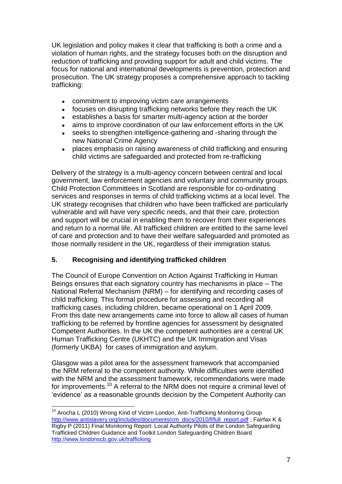UK legislation and policy makes it clear that trafficking is both a crime and a violation of human rights, and the strategy focuses both on the disruption and reduction of trafficking and providing support for adult and child victims. The focus for national and international developments is prevention, protection and prosecution. The UK strategy proposes a comprehensive approach to tackling trafficking:

- commitment to improving victim care arrangements  $\bullet$
- focuses on disrupting trafficking networks before they reach the UK
- establishes a basis for smarter multi-agency action at the border
- aims to improve coordination of our law enforcement efforts in the UK  $\bullet$
- seeks to strengthen intelligence-gathering and -sharing through the new National Crime Agency
- places emphasis on raising awareness of child trafficking and ensuring  $\bullet$ child victims are safeguarded and protected from re-trafficking

Delivery of the strategy is a multi-agency concern between central and local government, law enforcement agencies and voluntary and community groups. Child Protection Committees in Scotland are responsible for co-ordinating services and responses in terms of child trafficking victims at a local level. The UK strategy recognises that children who have been trafficked are particularly vulnerable and will have very specific needs, and that their care, protection and support will be crucial in enabling them to recover from their experiences and return to a normal life. All trafficked children are entitled to the same level of care and protection and to have their welfare safeguarded and promoted as those normally resident in the UK, regardless of their immigration status.

## **5. Recognising and identifying trafficked children**

 $\overline{a}$ 

The Council of Europe Convention on Action Against Trafficking in Human Beings ensures that each signatory country has mechanisms in place – The National Referral Mechanism (NRM) – for identifying and recording cases of child trafficking. This formal procedure for assessing and recording all trafficking cases, including children, became operational on 1 April 2009. From this date new arrangements came into force to allow all cases of human trafficking to be referred by frontline agencies for assessment by designated Competent Authorities. In the UK the competent authorities are a central UK Human Trafficking Centre (UKHTC) and the UK Immigration and Visas (formerly UKBA) for cases of immigration and asylum.

Glasgow was a pilot area for the assessment framework that accompanied the NRM referral to the competent authority. While difficulties were identified with the NRM and the assessment framework, recommendations were made for improvements.<sup>10</sup> A referral to the NRM does not require a criminal level of "evidence" as a reasonable grounds decision by the Competent Authority can

<sup>&</sup>lt;sup>10</sup> Arocha L (2010) Wrong Kind of Victim London, Anti-Trafficking Monitoring Group [http://www.antislavery.org/includes/documents/cm\\_docs/2010/f/full\\_report.pdf](http://www.antislavery.org/includes/documents/cm_docs/2010/f/full_report.pdf) ; Fairfax K & Rigby P (2011) Final Monitoring Report: Local Authority Pilots of the London Safeguarding Trafficked Children Guidance and Toolkit London Safeguarding Children Board <http://www.londonscb.gov.uk/trafficking>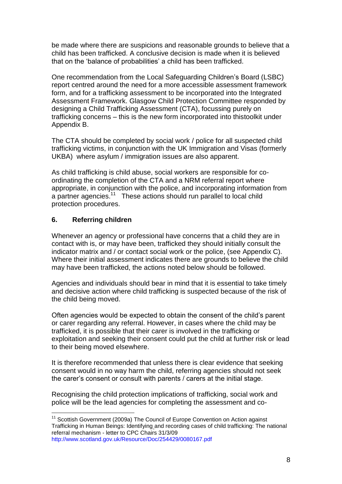be made where there are suspicions and reasonable grounds to believe that a child has been trafficked. A conclusive decision is made when it is believed that on the 'balance of probabilities' a child has been trafficked.

One recommendation from the Local Safeguarding Children"s Board (LSBC) report centred around the need for a more accessible assessment framework form, and for a trafficking assessment to be incorporated into the Integrated Assessment Framework. Glasgow Child Protection Committee responded by designing a Child Trafficking Assessment (CTA), focussing purely on trafficking concerns – this is the new form incorporated into thistoolkit under Appendix B.

The CTA should be completed by social work / police for all suspected child trafficking victims, in conjunction with the UK Immigration and Visas (formerly UKBA) where asylum / immigration issues are also apparent.

As child trafficking is child abuse, social workers are responsible for coordinating the completion of the CTA and a NRM referral report where appropriate, in conjunction with the police, and incorporating information from a partner agencies.<sup>11</sup> These actions should run parallel to local child protection procedures.

#### **6. Referring children**

 $\overline{a}$ 

Whenever an agency or professional have concerns that a child they are in contact with is, or may have been, trafficked they should initially consult the indicator matrix and / or contact social work or the police, (see Appendix C). Where their initial assessment indicates there are grounds to believe the child may have been trafficked, the actions noted below should be followed.

Agencies and individuals should bear in mind that it is essential to take timely and decisive action where child trafficking is suspected because of the risk of the child being moved.

Often agencies would be expected to obtain the consent of the child"s parent or carer regarding any referral. However, in cases where the child may be trafficked, it is possible that their carer is involved in the trafficking or exploitation and seeking their consent could put the child at further risk or lead to their being moved elsewhere.

It is therefore recommended that unless there is clear evidence that seeking consent would in no way harm the child, referring agencies should not seek the carer"s consent or consult with parents / carers at the initial stage.

Recognising the child protection implications of trafficking, social work and police will be the lead agencies for completing the assessment and co-

<sup>&</sup>lt;sup>11</sup> Scottish Government (2009a) The Council of Europe Convention on Action against Trafficking in Human Beings: Identifying and recording cases of child trafficking: The national referral mechanism - letter to CPC Chairs 31/3/09 <http://www.scotland.gov.uk/Resource/Doc/254429/0080167.pdf>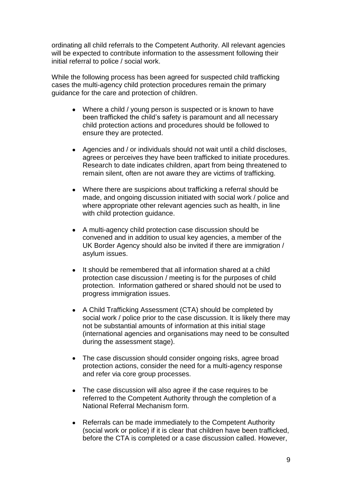ordinating all child referrals to the Competent Authority. All relevant agencies will be expected to contribute information to the assessment following their initial referral to police / social work.

While the following process has been agreed for suspected child trafficking cases the multi-agency child protection procedures remain the primary guidance for the care and protection of children.

- Where a child / young person is suspected or is known to have been trafficked the child"s safety is paramount and all necessary child protection actions and procedures should be followed to ensure they are protected.
- Agencies and / or individuals should not wait until a child discloses, agrees or perceives they have been trafficked to initiate procedures. Research to date indicates children, apart from being threatened to remain silent, often are not aware they are victims of trafficking.
- Where there are suspicions about trafficking a referral should be made, and ongoing discussion initiated with social work / police and where appropriate other relevant agencies such as health, in line with child protection guidance.
- A multi-agency child protection case discussion should be convened and in addition to usual key agencies, a member of the UK Border Agency should also be invited if there are immigration / asylum issues.
- It should be remembered that all information shared at a child protection case discussion / meeting is for the purposes of child protection. Information gathered or shared should not be used to progress immigration issues.
- A Child Trafficking Assessment (CTA) should be completed by social work / police prior to the case discussion. It is likely there may not be substantial amounts of information at this initial stage (international agencies and organisations may need to be consulted during the assessment stage).
- The case discussion should consider ongoing risks, agree broad protection actions, consider the need for a multi-agency response and refer via core group processes.
- The case discussion will also agree if the case requires to be referred to the Competent Authority through the completion of a National Referral Mechanism form.
- Referrals can be made immediately to the Competent Authority (social work or police) if it is clear that children have been trafficked, before the CTA is completed or a case discussion called. However,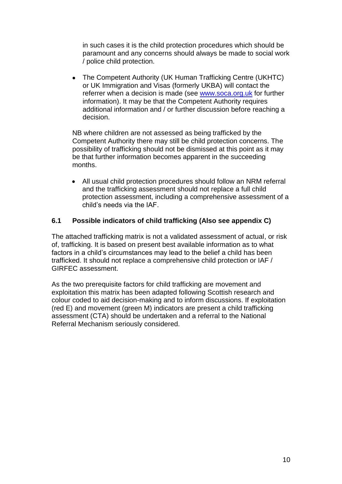in such cases it is the child protection procedures which should be paramount and any concerns should always be made to social work / police child protection.

 The Competent Authority (UK Human Trafficking Centre (UKHTC) or UK Immigration and Visas (formerly UKBA) will contact the referrer when a decision is made (see [www.soca.org.uk](http://www.soca.org.uk/) for further information). It may be that the Competent Authority requires additional information and / or further discussion before reaching a decision.

NB where children are not assessed as being trafficked by the Competent Authority there may still be child protection concerns. The possibility of trafficking should not be dismissed at this point as it may be that further information becomes apparent in the succeeding months.

 All usual child protection procedures should follow an NRM referral and the trafficking assessment should not replace a full child protection assessment, including a comprehensive assessment of a child"s needs via the IAF.

#### **6.1 Possible indicators of child trafficking (Also see appendix C)**

The attached trafficking matrix is not a validated assessment of actual, or risk of, trafficking. It is based on present best available information as to what factors in a child"s circumstances may lead to the belief a child has been trafficked. It should not replace a comprehensive child protection or IAF / GIRFEC assessment.

As the two prerequisite factors for child trafficking are movement and exploitation this matrix has been adapted following Scottish research and colour coded to aid decision-making and to inform discussions. If exploitation (red E) and movement (green M) indicators are present a child trafficking assessment (CTA) should be undertaken and a referral to the National Referral Mechanism seriously considered.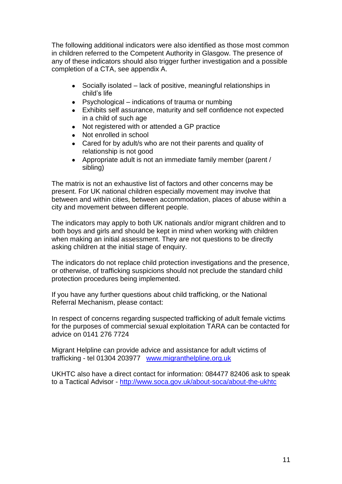The following additional indicators were also identified as those most common in children referred to the Competent Authority in Glasgow. The presence of any of these indicators should also trigger further investigation and a possible completion of a CTA, see appendix A.

- Socially isolated lack of positive, meaningful relationships in child"s life
- Psychological indications of trauma or numbing
- Exhibits self assurance, maturity and self confidence not expected in a child of such age
- Not registered with or attended a GP practice
- Not enrolled in school
- Cared for by adult/s who are not their parents and quality of relationship is not good
- Appropriate adult is not an immediate family member (parent / sibling)

The matrix is not an exhaustive list of factors and other concerns may be present. For UK national children especially movement may involve that between and within cities, between accommodation, places of abuse within a city and movement between different people.

The indicators may apply to both UK nationals and/or migrant children and to both boys and girls and should be kept in mind when working with children when making an initial assessment. They are not questions to be directly asking children at the initial stage of enquiry.

The indicators do not replace child protection investigations and the presence, or otherwise, of trafficking suspicions should not preclude the standard child protection procedures being implemented.

If you have any further questions about child trafficking, or the National Referral Mechanism, please contact:

In respect of concerns regarding suspected trafficking of adult female victims for the purposes of commercial sexual exploitation TARA can be contacted for advice on 0141 276 7724

Migrant Helpline can provide advice and assistance for adult victims of trafficking - tel 01304 203977 [www.migranthelpline.org.uk](http://www.migranthelpline.org.uk/) 

UKHTC also have a direct contact for information: 084477 82406 ask to speak to a Tactical Advisor -<http://www.soca.gov.uk/about-soca/about-the-ukhtc>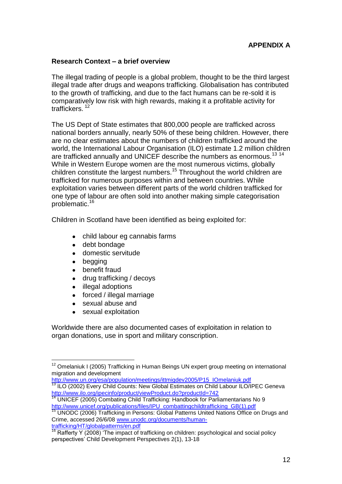#### **Research Context – a brief overview**

The illegal trading of people is a global problem, thought to be the third largest illegal trade after drugs and weapons trafficking. Globalisation has contributed to the growth of trafficking, and due to the fact humans can be re-sold it is comparatively low risk with high rewards, making it a profitable activity for traffickers.<sup>12</sup>

The US Dept of State estimates that 800,000 people are trafficked across national borders annually, nearly 50% of these being children. However, there are no clear estimates about the numbers of children trafficked around the world, the International Labour Organisation (ILO) estimate 1.2 million children are trafficked annually and UNICEF describe the numbers as enormous.<sup>13 14</sup> While in Western Europe women are the most numerous victims, globally children constitute the largest numbers.<sup>15</sup> Throughout the world children are trafficked for numerous purposes within and between countries. While exploitation varies between different parts of the world children trafficked for one type of labour are often sold into another making simple categorisation problematic.<sup>16</sup>

Children in Scotland have been identified as being exploited for:

- child labour eg cannabis farms
- debt bondage
- domestic servitude
- begging

 $\overline{a}$ 

- benefit fraud
- drug trafficking / decoys
- illegal adoptions
- forced / illegal marriage
- sexual abuse and
- sexual exploitation

Worldwide there are also documented cases of exploitation in relation to organ donations, use in sport and military conscription.

[http://www.un.org/esa/population/meetings/ittmigdev2005/P15\\_IOmelaniuk.pdf](http://www.un.org/esa/population/meetings/ittmigdev2005/P15_IOmelaniuk.pdf) 

 $12$  Omelaniuk I (2005) Trafficking in Human Beings UN expert group meeting on international migration and development

 $13$  ILO (2002) Every Child Counts: New Global Estimates on Child Labour ILO/IPEC Geneva http://www.ilo.org/ipecinfo/product/viewProduct.do?productId=742

<sup>14</sup> UNICEF (2005) Combating Child Trafficking: Handbook for Parliamentarians No 9 http://www.unicef.org/publications/files/IPU\_combattingchildtrafficking\_GB(1).pdf

<sup>&</sup>lt;sup>15</sup> UNODC (2006) Trafficking in Persons: Global Patterns United Nations Office on Drugs and Crime, accessed 26/6/08 [www.unodc.org/documents/human](http://www.unodc.org/documents/human-trafficking/HT/globalpatterns/en.pdf)[trafficking/HT/globalpatterns/en.pdf](http://www.unodc.org/documents/human-trafficking/HT/globalpatterns/en.pdf) 

<sup>16</sup> Rafferty Y (2008) 'The impact of trafficking on children: psychological and social policy perspectives" Child Development Perspectives 2(1), 13-18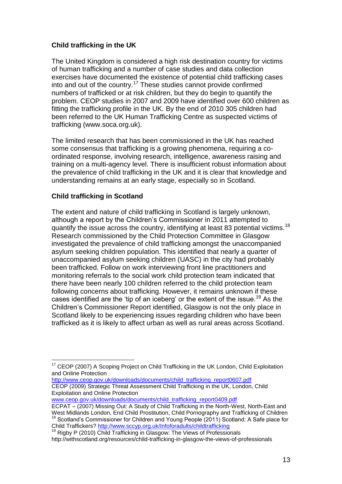#### **Child trafficking in the UK**

The United Kingdom is considered a high risk destination country for victims of human trafficking and a number of case studies and data collection exercises have documented the existence of potential child trafficking cases into and out of the country.<sup>17</sup> These studies cannot provide confirmed numbers of trafficked or at risk children, but they do begin to quantify the problem. CEOP studies in 2007 and 2009 have identified over 600 children as fitting the trafficking profile in the UK. By the end of 2010 305 children had been referred to the UK Human Trafficking Centre as suspected victims of trafficking (www.soca.org.uk).

The limited research that has been commissioned in the UK has reached some consensus that trafficking is a growing phenomena, requiring a coordinated response, involving research, intelligence, awareness raising and training on a multi-agency level. There is insufficient robust information about the prevalence of child trafficking in the UK and it is clear that knowledge and understanding remains at an early stage, especially so in Scotland.

#### **Child trafficking in Scotland**

The extent and nature of child trafficking in Scotland is largely unknown, although a report by the Children"s Commissioner in 2011 attempted to quantify the issue across the country, identifying at least 83 potential victims.<sup>18</sup> Research commissioned by the Child Protection Committee in Glasgow investigated the prevalence of child trafficking amongst the unaccompanied asylum seeking children population. This identified that nearly a quarter of unaccompanied asylum seeking children (UASC) in the city had probably been trafficked. Follow on work interviewing front line practitioners and monitoring referrals to the social work child protection team indicated that there have been nearly 100 children referred to the child protection team following concerns about trafficking. However, it remains unknown if these cases identified are the 'tip of an iceberg' or the extent of the issue.<sup>19</sup> As the Children"s Commissioner Report identified, Glasgow is not the only place in Scotland likely to be experiencing issues regarding children who have been trafficked as it is likely to affect urban as well as rural areas across Scotland.

[http://www.ceop.gov.uk/downloads/documents/child\\_trafficking\\_report0607.pdf](http://www.ceop.gov.uk/downloads/documents/child_trafficking_report0607.pdf)  CEOP (2009) Strategic Threat Assessment Child Trafficking in the UK, London, Child Exploitation and Online Protection

[www.ceop.gov.uk/downloads/documents/child\\_trafficking\\_report0409.pdf](http://www.ceop.gov.uk/downloads/documents/child_trafficking_report0409.pdf)

Child Traffickers?<http://www.sccyp.org.uk/Infoforadults/childtrafficking>

 $\overline{a}$ <sup>17</sup> CEOP (2007) A Scoping Project on Child Trafficking in the UK London, Child Exploitation and Online Protection

ECPAT – (2007) Missing Out: A Study of Child Trafficking in the North-West, North-East and West Midlands London, End Child Prostitution, Child Pornography and Trafficking of Children <sup>18</sup> Scotland"s Commissioner for Children and Young People (2011) Scotland: A Safe place for

<sup>&</sup>lt;sup>3</sup> Rigby P (2010) Child Trafficking in Glasgow: The Views of Professionals http://withscotland.org/resources/child-trafficking-in-glasgow-the-views-of-professionals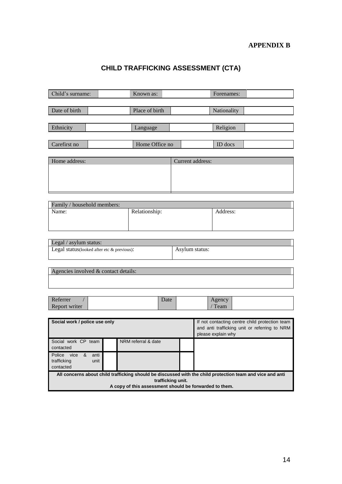## **CHILD TRAFFICKING ASSESSMENT (CTA)**

| Child's surname:                                                     | Known as:           | Forenames:                                                                                                |
|----------------------------------------------------------------------|---------------------|-----------------------------------------------------------------------------------------------------------|
|                                                                      |                     |                                                                                                           |
| Date of birth                                                        | Place of birth      | Nationality                                                                                               |
|                                                                      |                     |                                                                                                           |
| Ethnicity                                                            | Language            | Religion                                                                                                  |
|                                                                      |                     |                                                                                                           |
| Carefirst no                                                         | Home Office no      | ID docs                                                                                                   |
|                                                                      |                     |                                                                                                           |
| Home address:                                                        |                     | Current address:                                                                                          |
|                                                                      |                     |                                                                                                           |
|                                                                      |                     |                                                                                                           |
|                                                                      |                     |                                                                                                           |
|                                                                      |                     |                                                                                                           |
| Family / household members:                                          |                     |                                                                                                           |
| Name:                                                                | Relationship:       | Address:                                                                                                  |
|                                                                      |                     |                                                                                                           |
|                                                                      |                     |                                                                                                           |
|                                                                      |                     |                                                                                                           |
| Legal / asylum status:<br>Legal status(looked after etc & previous): |                     | Asylum status:                                                                                            |
|                                                                      |                     |                                                                                                           |
|                                                                      |                     |                                                                                                           |
| Agencies involved & contact details:                                 |                     |                                                                                                           |
|                                                                      |                     |                                                                                                           |
|                                                                      |                     |                                                                                                           |
| Referrer                                                             | Date                | Agency                                                                                                    |
| Report writer                                                        |                     | / Team                                                                                                    |
|                                                                      |                     |                                                                                                           |
| Social work / police use only                                        |                     | If not contacting centre child protection team                                                            |
|                                                                      |                     | and anti trafficking unit or referring to NRM<br>please explain why                                       |
| Social work CP team                                                  | NRM referral & date |                                                                                                           |
| contacted                                                            |                     |                                                                                                           |
| Police vice<br>&<br>anti                                             |                     |                                                                                                           |
| trafficking<br>unit<br>contacted                                     |                     |                                                                                                           |
|                                                                      |                     | All concerns about child trafficking should be discussed with the child protection team and vice and anti |
|                                                                      | trafficking unit.   |                                                                                                           |
|                                                                      |                     | A copy of this assessment should be forwarded to them.                                                    |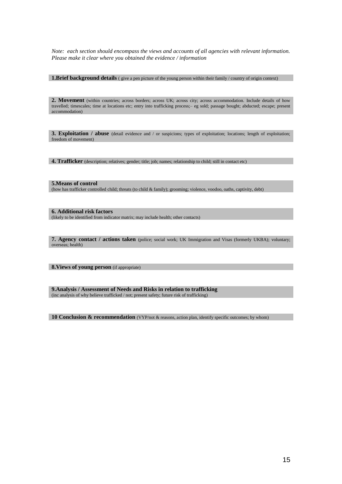*Note: each section should encompass the views and accounts of all agencies with relevant information. Please make it clear where you obtained the evidence / information* 

**1.Brief background details** ( give a pen picture of the young person within their family / country of origin context)

2. Movement (within countries; across borders; across UK; across city; across accommodation. Include details of how travelled; timescales; time at locations etc; entry into trafficking process;– eg sold; passage bought; abducted; escape; present accommodation)

**3. Exploitation / abuse** (detail evidence and / or suspicions; types of exploitation; locations; length of exploitation; freedom of movement)

**4. Trafficker** (description; relatives; gender; title; job; names; relationship to child; still in contact etc)

#### **5.Means of control**

(how has trafficker controlled child; threats (to child & family); grooming; violence, voodoo, oaths, captivity, debt)

#### **6. Additional risk factors**

(likely to be identified from indicator matrix; may include health; other contacts)

**7. Agency contact / actions taken** (police; social work; UK Immigration and Visas (formerly UKBA); voluntary; overseas; health)

8. Views of young person (if appropriate)

**9.Analysis / Assessment of Needs and Risks in relation to trafficking**  (inc analysis of why believe trafficked / not; present safety; future risk of trafficking)

10 Conclusion & recommendation *(VYP/not & reasons, action plan, identify specific outcomes; by whom)*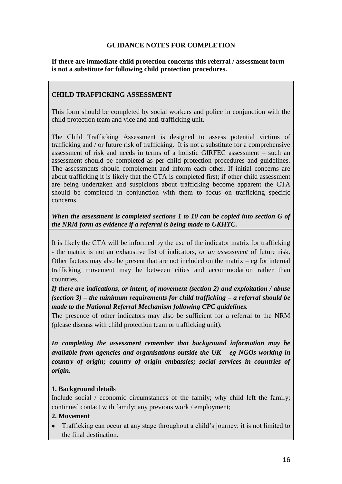#### **GUIDANCE NOTES FOR COMPLETION**

**If there are immediate child protection concerns this referral / assessment form is not a substitute for following child protection procedures.** 

#### **CHILD TRAFFICKING ASSESSMENT**

This form should be completed by social workers and police in conjunction with the child protection team and vice and anti-trafficking unit.

The Child Trafficking Assessment is designed to assess potential victims of trafficking and / or future risk of trafficking. It is not a substitute for a comprehensive assessment of risk and needs in terms of a holistic GIRFEC assessment – such an assessment should be completed as per child protection procedures and guidelines. The assessments should complement and inform each other. If initial concerns are about trafficking it is likely that the CTA is completed first; if other child assessment are being undertaken and suspicions about trafficking become apparent the CTA should be completed in conjunction with them to focus on trafficking specific concerns.

#### *When the assessment is completed sections 1 to 10 can be copied into section G of the NRM form as evidence if a referral is being made to UKHTC.*

It is likely the CTA will be informed by the use of the indicator matrix for trafficking - the matrix is not an exhaustive list of indicators, *or an assessment* of future risk. Other factors may also be present that are not included on the matrix  $-$  eg for internal trafficking movement may be between cities and accommodation rather than countries.

*If there are indications, or intent, of movement (section 2) and exploitation / abuse (section 3) – the minimum requirements for child trafficking – a referral should be made to the National Referral Mechanism following CPC guidelines.*

The presence of other indicators may also be sufficient for a referral to the NRM (please discuss with child protection team or trafficking unit).

*In completing the assessment remember that background information may be available from agencies and organisations outside the UK – eg NGOs working in country of origin; country of origin embassies; social services in countries of origin.* 

#### **1. Background details**

Include social / economic circumstances of the family; why child left the family; continued contact with family; any previous work / employment;

#### **2. Movement**

 $\bullet$ Trafficking can occur at any stage throughout a child's journey; it is not limited to the final destination.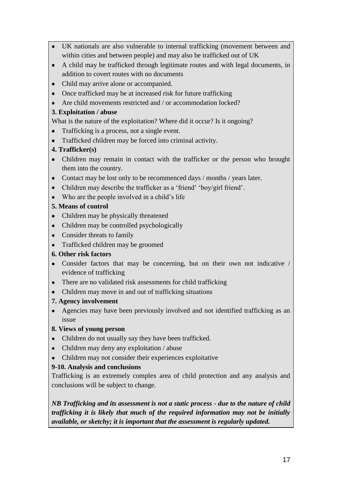- UK nationals are also vulnerable to internal trafficking (movement between and within cities and between people) and may also be trafficked out of UK
- A child may be trafficked through legitimate routes and with legal documents, in addition to covert routes with no documents
- Child may arrive alone or accompanied.
- Once trafficked may be at increased risk for future trafficking
- Are child movements restricted and / or accommodation locked?

#### **3. Exploitation / abuse**

What is the nature of the exploitation? Where did it occur? Is it ongoing?

- Trafficking is a process, not a single event.
- Trafficked children may be forced into criminal activity.

## **4. Trafficker(s)**

- Children may remain in contact with the trafficker or the person who brought them into the country.
- Contact may be lost only to be recommenced days / months / years later.
- Children may describe the trafficker as a 'friend' 'boy/girl friend'.
- Who are the people involved in a child's life

## **5. Means of control**

- Children may be physically threatened
- Children may be controlled psychologically
- Consider threats to family
- Trafficked children may be groomed

#### **6. Other risk factors**

- Consider factors that may be concerning, but on their own not indicative / evidence of trafficking
- There are no validated risk assessments for child trafficking
- Children may move in and out of trafficking situations

#### **7. Agency involvement**

Agencies may have been previously involved and not identified trafficking as an issue

#### **8. Views of young person**

- Children do not usually say they have been trafficked.
- Children may deny any exploitation / abuse
- Children may not consider their experiences exploitative

## **9-10. Analysis and conclusions**

Trafficking is an extremely complex area of child protection and any analysis and conclusions will be subject to change.

*NB Trafficking and its assessment is not a static process - due to the nature of child trafficking it is likely that much of the required information may not be initially available, or sketchy; it is important that the assessment is regularly updated.*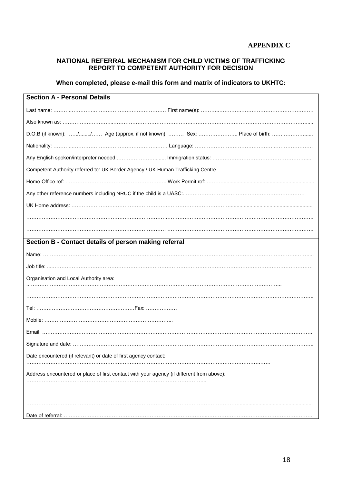#### **NATIONAL REFERRAL MECHANISM FOR CHILD VICTIMS OF TRAFFICKING REPORT TO COMPETENT AUTHORITY FOR DECISION**

#### **When completed, please e-mail this form and matrix of indicators to UKHTC:**

| <b>Section A - Personal Details</b>                                                       |  |
|-------------------------------------------------------------------------------------------|--|
|                                                                                           |  |
|                                                                                           |  |
| D.O.B (if known): // Age (approx. if not known):  Sex:  Place of birth:                   |  |
|                                                                                           |  |
|                                                                                           |  |
| Competent Authority referred to: UK Border Agency / UK Human Trafficking Centre           |  |
|                                                                                           |  |
|                                                                                           |  |
|                                                                                           |  |
|                                                                                           |  |
|                                                                                           |  |
| Section B - Contact details of person making referral                                     |  |
|                                                                                           |  |
|                                                                                           |  |
| Organisation and Local Authority area:                                                    |  |
|                                                                                           |  |
|                                                                                           |  |
|                                                                                           |  |
|                                                                                           |  |
|                                                                                           |  |
|                                                                                           |  |
| Date encountered (if relevant) or date of first agency contact:                           |  |
| Address encountered or place of first contact with your agency (if different from above): |  |
|                                                                                           |  |
|                                                                                           |  |
|                                                                                           |  |
|                                                                                           |  |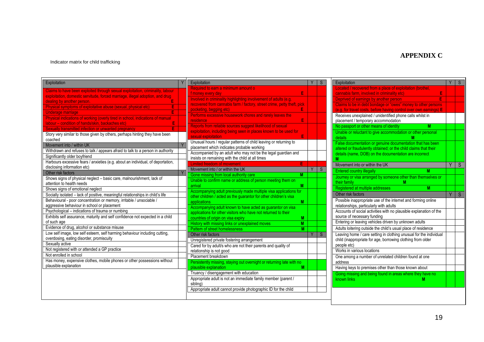#### **APPENDIX C**

#### Indicator matrix for child trafficking

| Exploitation                                                                    | Exploitation                                                                                                                           |          | S |
|---------------------------------------------------------------------------------|----------------------------------------------------------------------------------------------------------------------------------------|----------|---|
| Claims to have been exploited through sexual exploitation, criminality, labour  | Required to earn a minimum amount o                                                                                                    |          |   |
| exploitation, domestic servitude, forced marriage, illegal adoption, and drug   | E<br>f money every day                                                                                                                 |          |   |
| E<br>dealing by another person.                                                 | Involved in criminality highlighting involvement of adults (e.g.                                                                       |          |   |
| Physical symptoms of exploitative abuse (sexual, physical etc)<br>E             | recovered from cannabis farm / factory, street crime, petty theft, pick                                                                |          |   |
| E<br>Underage marriage                                                          | pocketing, begging etc)<br>E<br>pocketing, begging etc)<br>Performs excessive housework chores and rarely leaves the                   |          |   |
| Physical indications of working (overly tired in school, indications of manual  |                                                                                                                                        |          |   |
| labour - condition of hands/skin, backaches etc)<br>E                           | E<br><b>residence</b>                                                                                                                  |          |   |
| E<br>Sexually transmitted infection or unwanted pregnancy                       | Reports from reliable sources suggest likelihood of sexual                                                                             |          |   |
| Story very similar to those given by others, perhaps hinting they have been     | exploitation, including being seen in places known to be used for                                                                      |          |   |
| coached                                                                         | E<br>sexual exploitation                                                                                                               |          |   |
| Movement into / within UK                                                       | Unusual hours / regular patterns of child leaving or returning to                                                                      |          |   |
| Withdrawn and refuses to talk / appears afraid to talk to a person in authority | placement which indicates probable working                                                                                             |          |   |
| Significantly older boyfriend                                                   | Accompanied by an adult who may not be the legal guardian and                                                                          |          |   |
| Harbours excessive fears / anxieties (e.g. about an individual, of deportation, | insists on remaining with the child at all times                                                                                       |          |   |
| disclosing information etc)                                                     | <b>Limited freedom of movement</b><br>E                                                                                                |          |   |
| Other risk factors                                                              | Movement into / or within the UK                                                                                                       | Y        | S |
| Shows signs of physical neglect - basic care, malnourishment, lack of           | Gone missing from local authority care<br>М                                                                                            |          |   |
| attention to health needs                                                       | Unable to confirm name or address of person meeting them on                                                                            |          |   |
| Shows signs of emotional neglect                                                | M<br>arrival                                                                                                                           |          |   |
| Socially isolated - lack of positive, meaningful relationships in child's life  | Accompanying adult previously made multiple visa applications for<br>other children / acted as the guarantor for other children's visa |          |   |
| Behavioural - poor concentration or memory, irritable / unsociable /            | applications<br>M                                                                                                                      |          |   |
| aggressive behaviour in school or placement                                     | Accompanying adult known to have acted as guarantor on visa                                                                            |          |   |
| Psychological - indications of trauma or numbing                                | applications for other visitors who have not returned to their                                                                         |          |   |
| Exhibits self assurance, maturity and self confidence not expected in a child   | countries of origin on visa expiry<br>M                                                                                                |          |   |
| of such age                                                                     | History with missing links or unexplained moves<br>$\overline{M}$                                                                      |          |   |
| Evidence of drug, alcohol or substance misuse                                   | Pattern of street homelessness<br>M                                                                                                    |          |   |
| Low self image, low self esteem, self harming behaviour including cutting,      | Other risk factors                                                                                                                     | <b>V</b> | S |
| overdosing, eating disorder, promiscuity                                        |                                                                                                                                        |          |   |
| Sexually active                                                                 | Unregistered private fostering arrangement<br>Cared for by adult/s who are not their parents and quality of                            |          |   |
| Not registered with or attended a GP practice                                   | relationship is not good                                                                                                               |          |   |
| Not enrolled in school                                                          | Placement breakdown                                                                                                                    |          |   |
| Has money, expensive clothes, mobile phones or other possessions without        | Persistently missing, staying out overnight or returning late with no                                                                  |          |   |
| plausible explanation                                                           | plausible explanation<br>M                                                                                                             |          |   |
|                                                                                 | Truancy / disengagement with education                                                                                                 |          |   |
|                                                                                 | Appropriate adult is not an immediate family member (parent /                                                                          |          |   |
|                                                                                 | sibling)                                                                                                                               |          |   |
|                                                                                 | Appropriate adult cannot provide photographic ID for the child                                                                         |          |   |

| Exploitation                                                                                     | Y | S |
|--------------------------------------------------------------------------------------------------|---|---|
| Located / recovered from a place of exploitation (brothel,                                       |   |   |
| cannabis farm, involved in criminality etc)<br>E                                                 |   |   |
| Ē<br>Deprived of earnings by another person                                                      |   |   |
| Claims to be in debt bondage or "owes" money to other persons                                    |   |   |
| (e.g. for travel costs, before having control over own earnings) E                               |   |   |
| Receives unexplained / unidentified phone calls whilst in<br>placement / temporary accommodation |   |   |
| No passport or other means of identity<br>м                                                      |   |   |
| Unable or reluctant to give accommodation or other personal                                      |   |   |
| details<br>М                                                                                     |   |   |
| False documentation or genuine documentation that has been                                       |   |   |
| altered or fraudulently obtained; or the child claims that their                                 |   |   |
| details (name, DOB) on the documentation are incorrect                                           |   |   |
| м                                                                                                |   |   |
| Movement into or within the UK                                                                   | Y | S |
| <b>Entered country illegally</b><br>М                                                            |   |   |
| Journey or visa arranged by someone other than themselves or                                     |   |   |
|                                                                                                  |   |   |
| their family<br>М                                                                                |   |   |
| Registered at multiple addresses<br>M                                                            |   |   |
| Other risk factors                                                                               | Υ |   |
| Possible inappropriate use of the internet and forming online                                    |   |   |
| relationships, particularly with adults                                                          |   |   |
| Accounts of social activities with no plausible explanation of the                               |   |   |
| source of necessary funding                                                                      |   |   |
| Entering or leaving vehicles driven by unknown adults                                            |   |   |
| Adults loitering outside the child's usual place of residence                                    |   |   |
| Leaving home / care setting in clothing unusual for the individual                               |   |   |
| child (inappropriate for age, borrowing clothing from older                                      |   |   |
| people etc)                                                                                      |   |   |
| Works in various locations                                                                       |   |   |
| One among a number of unrelated children found at one                                            |   |   |
| address                                                                                          |   |   |
| Having keys to premises other than those known about                                             |   |   |
| Going missing and being found in areas where they have no<br>known links<br>М                    |   | S |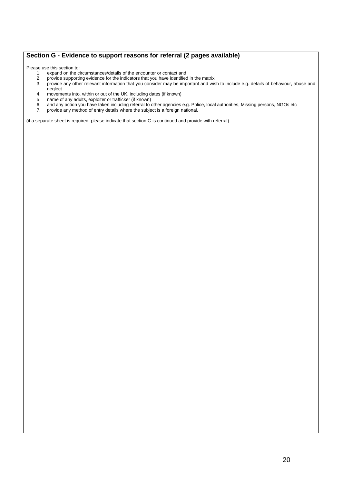#### **Section G - Evidence to support reasons for referral (2 pages available)**

Please use this section to:

- 1. expand on the circumstances/details of the encounter or contact and
- 2. provide supporting evidence for the indicators that you have identified in the matrix
- 3. provide any other relevant information that you consider may be important and wish to include e.g. details of behaviour, abuse and neglect
- 4. movements into, within or out of the UK, including dates (if known)
- 5. name of any adults, exploiter or trafficker (if known)
- 6. and any action you have taken including referral to other agencies e.g. Police, local authorities, Missing persons, NGOs etc<br>7. provide any method of entry details where the subject is a foreign national,
- 7. provide any method of entry details where the subject is a foreign national,

(if a separate sheet is required, please indicate that section G is continued and provide with referral)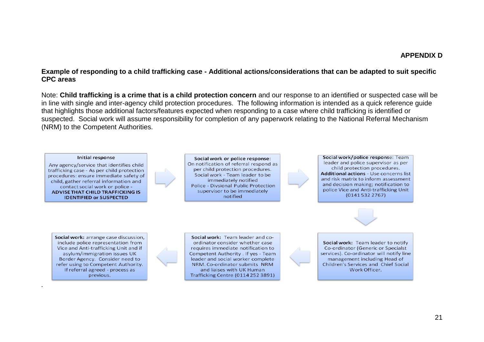#### **APPENDIX D**

#### **Example of responding to a child trafficking case - Additional actions/considerations that can be adapted to suit specific CPC areas**

Note: **Child trafficking is a crime that is a child protection concern** and our response to an identified or suspected case will be in line with single and inter-agency child protection procedures. The following information is intended as a quick reference guide that highlights those additional factors/features expected when responding to a case where child trafficking is identified or suspected. Social work will assume responsibility for completion of any paperwork relating to the National Referral Mechanism (NRM) to the Competent Authorities.

#### Initial response

Any agency/service that identifies child trafficking case - As per child protection procedures: ensure immediate safety of child, gather referral information and contact social work or police -**ADVISE THAT CHILD TRAFFICKING IS IDENTIFIED or SUSPECTED** 

Social work or police response: On notification of referral respond as per child protection procedures. Social work - Team leader to be immediately notified Police - Divsional Public Protection supervisor to be immediately notified



Social work/police response: Team leader and police supervisor as per child protection procedures. **Additional actions - Use concerns list** and risk matrix to inform assessment and decision making: notification to police Vice and Anti-trafficking Unit  $(01415322767)$ 

Social work: arrange case discussion, include police representation from Vice and Anti-trafficking Unit and if asylum/immigration issues UK Border Agency. Consider need to refer using to Competent Authority. If referral agreed - process as previous.

*.*

Social work: Team leader and coordinator consider whether case requires immediate notification to Competent Authority . If yes - Team leader and social worker complete NRM. Co-ordinator submits NRM and liaises with UK Human Trafficking Centre (0114 252 3891)



Social work: Team leader to notify Co-ordinator (Generic or Specialst services). Co-ordinator will notify line management including Head of Children's Services and Chief Social Work Officer.